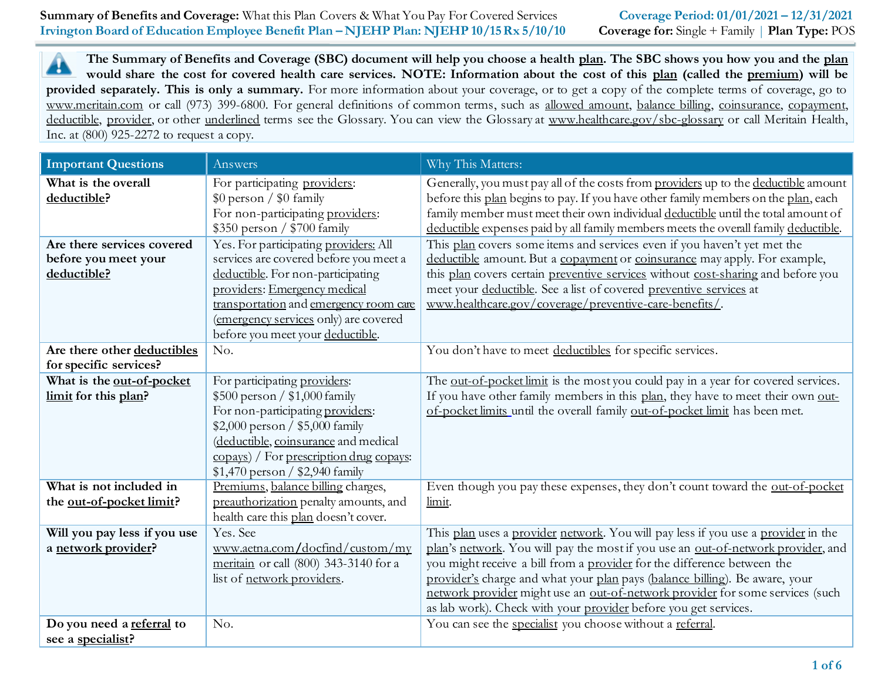| Summary of Benefits and Coverage: What this Plan Covers & What You Pay For Covered Services | Coverage Period: 01/01/2021 - 12/31/2021                     |
|---------------------------------------------------------------------------------------------|--------------------------------------------------------------|
| Irvington Board of Education Employee Benefit Plan - NJEHP Plan: NJEHP 10/15 Rx 5/10/10     | <b>Coverage for:</b> Single + Family   <b>Plan Type:</b> POS |
|                                                                                             |                                                              |

**The Summary of Benefits and Coverage (SBC) document will help you choose a health plan. The SBC shows you how you and the plan** ┻ **would share the cost for covered health care services. NOTE: Information about the cost of this plan (called the premium) will be provided separately. This is only a summary.** For more information about your coverage, or to get a copy of the complete terms of coverage, go to www.meritain.com or call (973) 399-6800. For general definitions of common terms, such as allowed amount, balance billing, coinsurance, copayment, deductible, provider, or other underlined terms see the Glossary. You can view the Glossary at www.healthcare.gov/sbc-glossary or call Meritain Health, Inc. at (800) 925-2272 to request a copy.

| <b>Important Questions</b>                                        | Answers                                                                                                                                                                                                                                                                     | Why This Matters:                                                                                                                                                                                                                                                                                                                                                                                                                                                                   |
|-------------------------------------------------------------------|-----------------------------------------------------------------------------------------------------------------------------------------------------------------------------------------------------------------------------------------------------------------------------|-------------------------------------------------------------------------------------------------------------------------------------------------------------------------------------------------------------------------------------------------------------------------------------------------------------------------------------------------------------------------------------------------------------------------------------------------------------------------------------|
| What is the overall<br>deductible?                                | For participating providers:<br>\$0 person / \$0 family<br>For non-participating providers:<br>\$350 person / \$700 family                                                                                                                                                  | Generally, you must pay all of the costs from providers up to the deductible amount<br>before this plan begins to pay. If you have other family members on the plan, each<br>family member must meet their own individual deductible until the total amount of<br>deductible expenses paid by all family members meets the overall family deductible.                                                                                                                               |
| Are there services covered<br>before you meet your<br>deductible? | Yes. For participating providers: All<br>services are covered before you meet a<br>deductible. For non-participating<br>providers: Emergency medical<br>transportation and emergency room care<br>(emergency services only) are covered<br>before you meet your deductible. | This plan covers some items and services even if you haven't yet met the<br>deductible amount. But a copayment or coinsurance may apply. For example,<br>this plan covers certain preventive services without cost-sharing and before you<br>meet your deductible. See a list of covered preventive services at<br>www.healthcare.gov/coverage/preventive-care-benefits/.                                                                                                           |
| Are there other deductibles<br>for specific services?             | No.                                                                                                                                                                                                                                                                         | You don't have to meet deductibles for specific services.                                                                                                                                                                                                                                                                                                                                                                                                                           |
| What is the out-of-pocket<br>limit for this plan?                 | For participating providers:<br>$$500$ person / $$1,000$ family<br>For non-participating providers:<br>$$2,000$ person / $$5,000$ family<br>(deductible, coinsurance and medical<br>copays) / For prescription drug copays:<br>$$1,470$ person / \$2,940 family             | The out-of-pocket limit is the most you could pay in a year for covered services.<br>If you have other family members in this plan, they have to meet their own out-<br>of-pocket limits until the overall family out-of-pocket limit has been met.                                                                                                                                                                                                                                 |
| What is not included in<br>the out-of-pocket limit?               | Premiums, balance billing charges,<br>preauthorization penalty amounts, and<br>health care this plan doesn't cover.                                                                                                                                                         | Even though you pay these expenses, they don't count toward the out-of-pocket<br>limit.                                                                                                                                                                                                                                                                                                                                                                                             |
| Will you pay less if you use<br>a network provider?               | Yes. See<br>www.aetna.com/docfind/custom/my<br>meritain or call (800) 343-3140 for a<br>list of network providers.                                                                                                                                                          | This plan uses a provider network. You will pay less if you use a provider in the<br>plan's network. You will pay the most if you use an out-of-network provider, and<br>you might receive a bill from a provider for the difference between the<br>provider's charge and what your plan pays (balance billing). Be aware, your<br>network provider might use an out-of-network provider for some services (such<br>as lab work). Check with your provider before you get services. |
| Do you need a referral to<br>see a specialist?                    | No.                                                                                                                                                                                                                                                                         | You can see the specialist you choose without a referral.                                                                                                                                                                                                                                                                                                                                                                                                                           |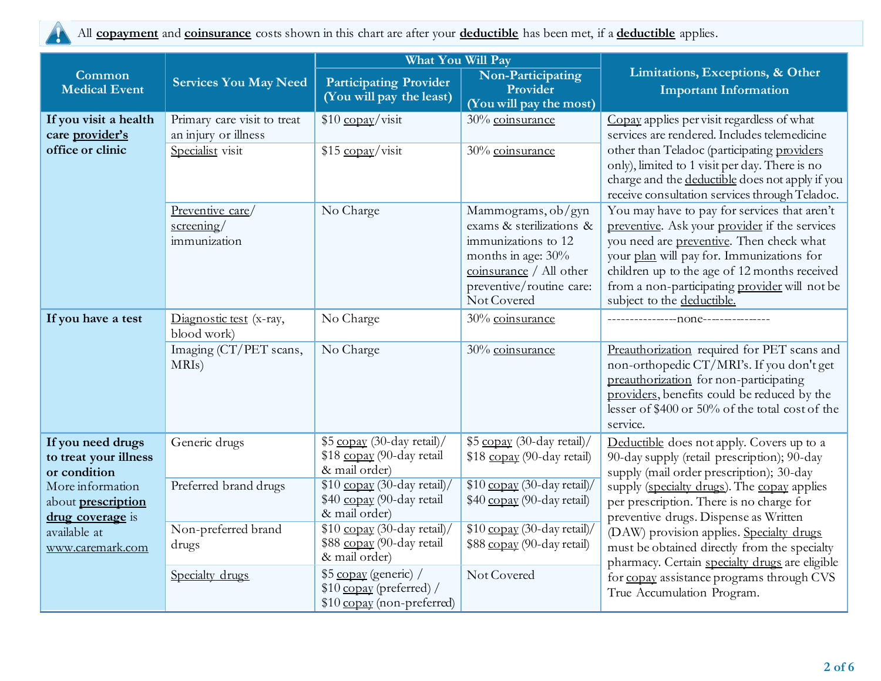

All **copayment** and **coinsurance** costs shown in this chart are after your **deductible** has been met, if a **deductible** applies.

|                                                                   |                                                     | <b>What You Will Pay</b>                                                         |                                                                                                                                                                   |                                                                                                                                                                                                                                                                                                                       |
|-------------------------------------------------------------------|-----------------------------------------------------|----------------------------------------------------------------------------------|-------------------------------------------------------------------------------------------------------------------------------------------------------------------|-----------------------------------------------------------------------------------------------------------------------------------------------------------------------------------------------------------------------------------------------------------------------------------------------------------------------|
| Common<br><b>Medical Event</b>                                    | <b>Services You May Need</b>                        | <b>Participating Provider</b><br>(You will pay the least)                        | Non-Participating<br>Provider<br>(You will pay the most)                                                                                                          | Limitations, Exceptions, & Other<br><b>Important Information</b>                                                                                                                                                                                                                                                      |
| If you visit a health<br>care provider's                          | Primary care visit to treat<br>an injury or illness | $$10$ copay/visit                                                                | 30% coinsurance                                                                                                                                                   | Copay applies per visit regardless of what<br>services are rendered. Includes telemedicine                                                                                                                                                                                                                            |
| office or clinic                                                  | Specialist visit                                    | \$15 copay/visit                                                                 | 30% coinsurance                                                                                                                                                   | other than Teladoc (participating providers<br>only), limited to 1 visit per day. There is no<br>charge and the deductible does not apply if you<br>receive consultation services through Teladoc.                                                                                                                    |
|                                                                   | Preventive care/<br>$s$ creening/<br>immunization   | No Charge                                                                        | Mammograms, ob/gyn<br>exams & sterilizations &<br>immunizations to 12<br>months in age: 30%<br>coinsurance / All other<br>preventive/routine care:<br>Not Covered | You may have to pay for services that aren't<br>preventive. Ask your provider if the services<br>you need are preventive. Then check what<br>your plan will pay for. Immunizations for<br>children up to the age of 12 months received<br>from a non-participating provider will not be<br>subject to the deductible. |
| If you have a test                                                | Diagnostic test (x-ray,<br>blood work)              | No Charge                                                                        | 30% coinsurance                                                                                                                                                   |                                                                                                                                                                                                                                                                                                                       |
|                                                                   | Imaging (CT/PET scans,<br>MRIs)                     | No Charge                                                                        | 30% coinsurance                                                                                                                                                   | Preauthorization required for PET scans and<br>non-orthopedic CT/MRI's. If you don't get<br>preauthorization for non-participating<br>providers, benefits could be reduced by the<br>lesser of \$400 or 50% of the total cost of the<br>service.                                                                      |
| If you need drugs<br>to treat your illness<br>or condition        | Generic drugs                                       | \$5 copay (30-day retail)/<br>\$18 copay (90-day retail<br>& mail order)         | \$5 copay (30-day retail)/<br>\$18 copay (90-day retail)                                                                                                          | Deductible does not apply. Covers up to a<br>90-day supply (retail prescription); 90-day<br>supply (mail order prescription); 30-day                                                                                                                                                                                  |
| More information<br>about <b>prescription</b><br>drug coverage is | Preferred brand drugs                               | \$10 copay (30-day retail)/<br>\$40 copay (90-day retail<br>& mail order)        | \$10 copay (30-day retail)/<br>\$40 copay (90-day retail)                                                                                                         | supply (specialty drugs). The copay applies<br>per prescription. There is no charge for<br>preventive drugs. Dispense as Written                                                                                                                                                                                      |
| available at<br>www.caremark.com                                  | Non-preferred brand<br>drugs                        | $$10$ copay (30-day retail)/<br>\$88 copay (90-day retail<br>& mail order)       | \$10 copay (30-day retail)/<br>\$88 copay (90-day retail)                                                                                                         | (DAW) provision applies. Specialty drugs<br>must be obtained directly from the specialty<br>pharmacy. Certain specialty drugs are eligible                                                                                                                                                                            |
|                                                                   | Specialty drugs                                     | \$5 copay (generic) /<br>$$10$ copay (preferred) /<br>\$10 copay (non-preferred) | Not Covered                                                                                                                                                       | for copay assistance programs through CVS<br>True Accumulation Program.                                                                                                                                                                                                                                               |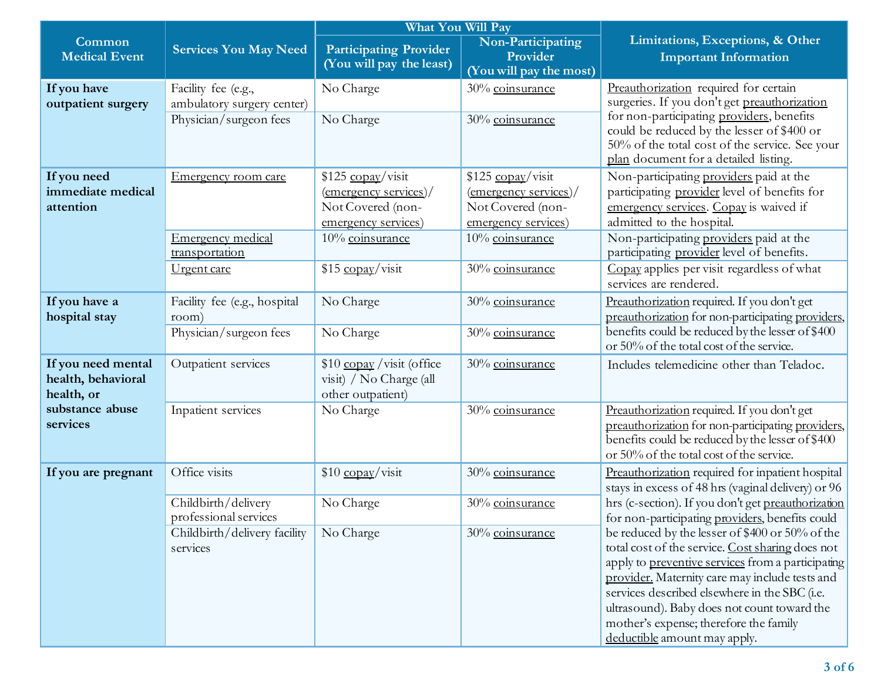|                                                        |                                                                             | <b>What You Will Pay</b>                                                                                                |                                                                                                           |                                                                                                                                                                                                                                                                                                                                                                                      |
|--------------------------------------------------------|-----------------------------------------------------------------------------|-------------------------------------------------------------------------------------------------------------------------|-----------------------------------------------------------------------------------------------------------|--------------------------------------------------------------------------------------------------------------------------------------------------------------------------------------------------------------------------------------------------------------------------------------------------------------------------------------------------------------------------------------|
| Common<br><b>Medical Event</b>                         | <b>Services You May Need</b>                                                | <b>Participating Provider</b><br>(You will pay the least)                                                               | Non-Participating<br>Provider<br>(You will pay the most)                                                  | Limitations, Exceptions, & Other<br><b>Important Information</b>                                                                                                                                                                                                                                                                                                                     |
| If you have<br>outpatient surgery                      | Facility fee (e.g.,<br>ambulatory surgery center)<br>Physician/surgeon fees | No Charge<br>No Charge                                                                                                  | 30% coinsurance<br>30% coinsurance                                                                        | Preauthorization required for certain<br>surgeries. If you don't get preauthorization<br>for non-participating providers, benefits<br>could be reduced by the lesser of \$400 or<br>50% of the total cost of the service. See your<br>plan document for a detailed listing.                                                                                                          |
| If you need<br>immediate medical<br>attention          | Emergency room care<br><b>Emergency medical</b>                             | \$125 copay/visit<br>$\frac{1}{2}$ (emergency services)/<br>Not Covered (non-<br>emergency services)<br>10% coinsurance | $$125$ copay/visit<br>$(energy$ services)/<br>Not Covered (non-<br>emergency services)<br>10% coinsurance | Non-participating providers paid at the<br>participating provider level of benefits for<br>emergency services. Copay is waived if<br>admitted to the hospital.<br>Non-participating providers paid at the                                                                                                                                                                            |
|                                                        | transportation<br>Urgent care                                               | \$15 copay/visit                                                                                                        | 30% coinsurance                                                                                           | participating provider level of benefits.<br>Copay applies per visit regardless of what<br>services are rendered.                                                                                                                                                                                                                                                                    |
| If you have a<br>hospital stay                         | Facility fee (e.g., hospital<br>room)<br>Physician/surgeon fees             | No Charge<br>No Charge                                                                                                  | 30% coinsurance<br>30% coinsurance                                                                        | Preauthorization required. If you don't get<br>preauthorization for non-participating providers,<br>benefits could be reduced by the lesser of \$400<br>or 50% of the total cost of the service.                                                                                                                                                                                     |
| If you need mental<br>health, behavioral<br>health, or | Outpatient services                                                         | \$10 copay / visit (office<br>visit) / No Charge (all<br>other outpatient)                                              | 30% coinsurance                                                                                           | Includes telemedicine other than Teladoc.                                                                                                                                                                                                                                                                                                                                            |
| substance abuse<br>services                            | Inpatient services                                                          | No Charge                                                                                                               | 30% coinsurance                                                                                           | Preauthorization required. If you don't get<br>preauthorization for non-participating providers,<br>benefits could be reduced by the lesser of \$400<br>or 50% of the total cost of the service.                                                                                                                                                                                     |
| If you are pregnant                                    | Office visits                                                               | \$10 copay/visit                                                                                                        | 30% coinsurance                                                                                           | Preauthorization required for inpatient hospital<br>stays in excess of 48 hrs (vaginal delivery) or 96                                                                                                                                                                                                                                                                               |
|                                                        | Childbirth/delivery<br>professional services                                | No Charge                                                                                                               | 30% coinsurance                                                                                           | hrs (c-section). If you don't get preauthorization<br>for non-participating providers, benefits could                                                                                                                                                                                                                                                                                |
|                                                        | Childbirth/delivery facility<br>services                                    | No Charge                                                                                                               | 30% coinsurance                                                                                           | be reduced by the lesser of \$400 or 50% of the<br>total cost of the service. Cost sharing does not<br>apply to preventive services from a participating<br>provider. Maternity care may include tests and<br>services described elsewhere in the SBC (i.e.<br>ultrasound). Baby does not count toward the<br>mother's expense; therefore the family<br>deductible amount may apply. |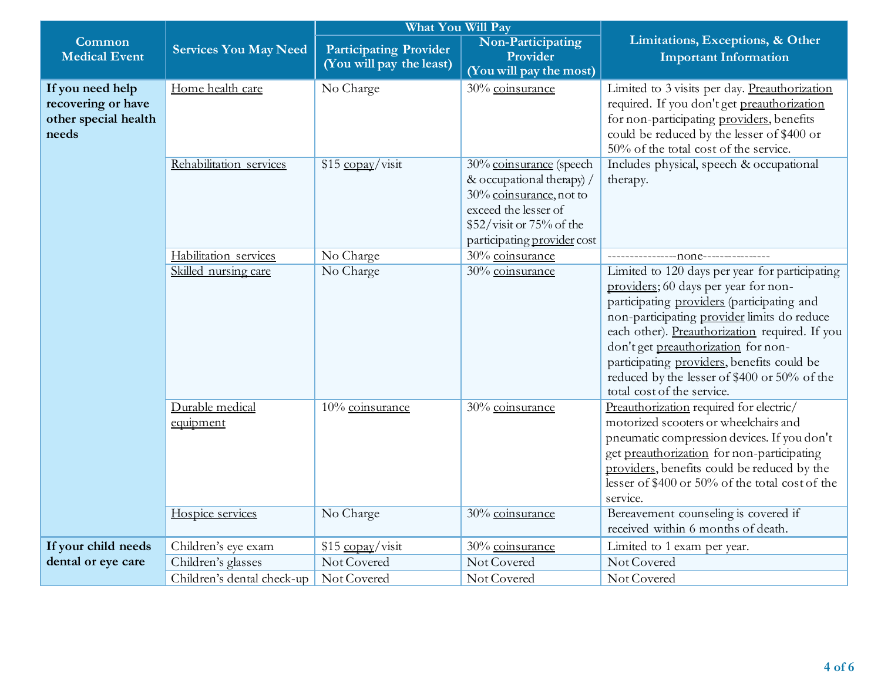|                                                                         |                                                  | <b>What You Will Pay</b>                                  |                                                                                                                                                                    |                                                                                                                                                                                                                                                                                                                                                                                                          |
|-------------------------------------------------------------------------|--------------------------------------------------|-----------------------------------------------------------|--------------------------------------------------------------------------------------------------------------------------------------------------------------------|----------------------------------------------------------------------------------------------------------------------------------------------------------------------------------------------------------------------------------------------------------------------------------------------------------------------------------------------------------------------------------------------------------|
| Common<br><b>Medical Event</b>                                          | <b>Services You May Need</b>                     | <b>Participating Provider</b><br>(You will pay the least) | Non-Participating<br>Provider<br>(You will pay the most)                                                                                                           | Limitations, Exceptions, & Other<br><b>Important Information</b>                                                                                                                                                                                                                                                                                                                                         |
| If you need help<br>recovering or have<br>other special health<br>needs | Home health care                                 | No Charge                                                 | 30% coinsurance                                                                                                                                                    | Limited to 3 visits per day. Preauthorization<br>required. If you don't get preauthorization<br>for non-participating providers, benefits<br>could be reduced by the lesser of \$400 or<br>50% of the total cost of the service.                                                                                                                                                                         |
|                                                                         | Rehabilitation services                          | $$15 \frac{\text{copay}}{\text{visit}}$                   | 30% coinsurance (speech<br>& occupational therapy) /<br>30% coinsurance, not to<br>exceed the lesser of<br>\$52/visit or 75% of the<br>participating provider cost | Includes physical, speech & occupational<br>therapy.                                                                                                                                                                                                                                                                                                                                                     |
|                                                                         | Habilitation services                            | No Charge                                                 | 30% coinsurance                                                                                                                                                    |                                                                                                                                                                                                                                                                                                                                                                                                          |
|                                                                         | Skilled nursing care                             | No Charge                                                 | 30% coinsurance                                                                                                                                                    | Limited to 120 days per year for participating<br>providers; 60 days per year for non-<br>participating providers (participating and<br>non-participating provider limits do reduce<br>each other). Preauthorization required. If you<br>don't get preauthorization for non-<br>participating providers, benefits could be<br>reduced by the lesser of \$400 or 50% of the<br>total cost of the service. |
|                                                                         | Durable medical<br>equipment<br>Hospice services | 10% coinsurance<br>No Charge                              | 30% coinsurance<br>30% coinsurance                                                                                                                                 | Preauthorization required for electric/<br>motorized scooters or wheelchairs and<br>pneumatic compression devices. If you don't<br>get preauthorization for non-participating<br>providers, benefits could be reduced by the<br>lesser of \$400 or 50% of the total cost of the<br>service.<br>Bereavement counseling is covered if                                                                      |
|                                                                         |                                                  |                                                           |                                                                                                                                                                    | received within 6 months of death.                                                                                                                                                                                                                                                                                                                                                                       |
| If your child needs                                                     | Children's eye exam                              | $$15 \frac{\text{copay}}{\text{visit}}$                   | 30% coinsurance                                                                                                                                                    | Limited to 1 exam per year.                                                                                                                                                                                                                                                                                                                                                                              |
| dental or eye care                                                      | Children's glasses                               | Not Covered                                               | Not Covered                                                                                                                                                        | Not Covered                                                                                                                                                                                                                                                                                                                                                                                              |
|                                                                         | Children's dental check-up                       | Not Covered                                               | Not Covered                                                                                                                                                        | Not Covered                                                                                                                                                                                                                                                                                                                                                                                              |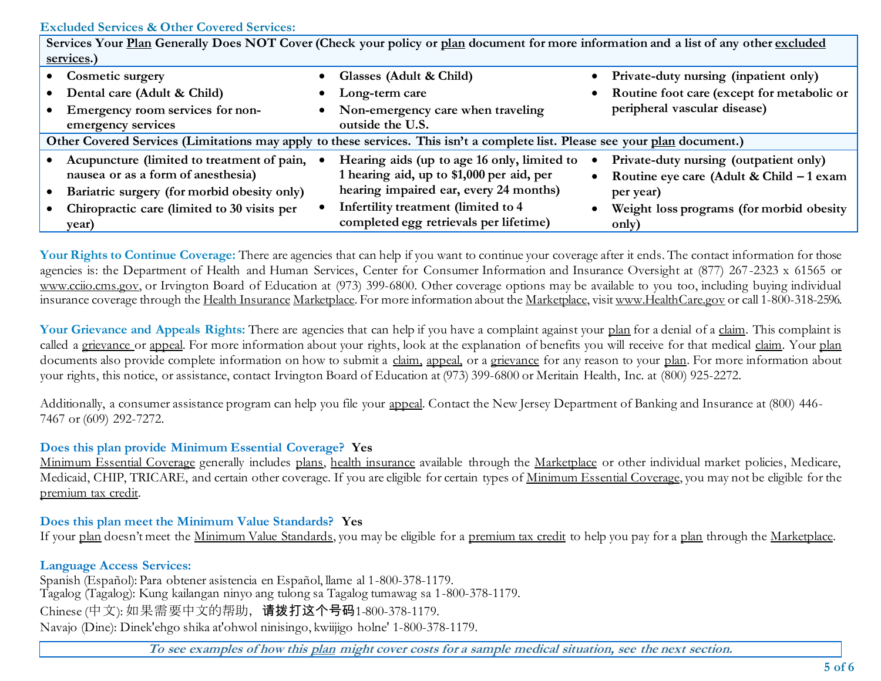### **Excluded Services & Other Covered Services:**

| Services Your Plan Generally Does NOT Cover (Check your policy or plan document for more information and a list of any other excluded |  |                                             |  |                                            |  |
|---------------------------------------------------------------------------------------------------------------------------------------|--|---------------------------------------------|--|--------------------------------------------|--|
| services.)                                                                                                                            |  |                                             |  |                                            |  |
| <b>Cosmetic surgery</b>                                                                                                               |  | Glasses (Adult & Child)                     |  | Private-duty nursing (inpatient only)      |  |
| Dental care (Adult & Child)                                                                                                           |  | Long-term care                              |  | Routine foot care (except for metabolic or |  |
| Emergency room services for non-                                                                                                      |  | Non-emergency care when traveling           |  | peripheral vascular disease)               |  |
| emergency services                                                                                                                    |  | outside the U.S.                            |  |                                            |  |
| Other Covered Services (Limitations may apply to these services. This isn't a complete list. Please see your plan document.)          |  |                                             |  |                                            |  |
| Acupuncture (limited to treatment of pain,                                                                                            |  | Hearing aids (up to age 16 only, limited to |  | Private-duty nursing (outpatient only)     |  |
| nausea or as a form of anesthesia)                                                                                                    |  | 1 hearing aid, up to \$1,000 per aid, per   |  | Routine eye care (Adult & Child - 1 exam   |  |
| Bariatric surgery (for morbid obesity only)                                                                                           |  | hearing impaired ear, every 24 months)      |  | per year)                                  |  |
| Chiropractic care (limited to 30 visits per                                                                                           |  | Infertility treatment (limited to 4         |  | Weight loss programs (for morbid obesity   |  |
| year)                                                                                                                                 |  | completed egg retrievals per lifetime)      |  | only)                                      |  |

Your Rights to Continue Coverage: There are agencies that can help if you want to continue your coverage after it ends. The contact information for those agencies is: the Department of Health and Human Services, Center for Consumer Information and Insurance Oversight at (877) 267-2323 x 61565 or www.cciio.cms.gov, or Irvington Board of Education at (973) 399-6800. Other coverage options may be available to you too, including buying individual insurance coverage through the Health Insurance Marketplace. For more information about the Marketplace, visi[t www.HealthCare.gov](http://www.healthcare.gov/) or call 1-800-318-2596.

Your Grievance and Appeals Rights: There are agencies that can help if you have a complaint against your plan for a denial of a claim. This complaint is called a grievance or appeal. For more information about your rights, look at the explanation of benefits you will receive for that medical claim. Your plan documents also provide complete information on how to submit a claim, appeal, or a grievance for any reason to your plan. For more information about your rights, this notice, or assistance, contact Irvington Board of Education at (973) 399-6800 or Meritain Health, Inc. at (800) 925-2272.

Additionally, a consumer assistance program can help you file your appeal. Contact the New Jersey Department of Banking and Insurance at (800) 446- 7467 or (609) 292-7272.

# **Does this plan provide Minimum Essential Coverage? Yes**

Minimum Essential Coverage generally includes plans, health insurance available through the Marketplace or other individual market policies, Medicare, Medicaid, CHIP, TRICARE, and certain other coverage. If you are eligible for certain types of Minimum Essential Coverage, you may not be eligible for the premium tax credit.

# **Does this plan meet the Minimum Value Standards? Yes**

If your plan doesn't meet the Minimum Value Standards, you may be eligible for a premium tax credit to help you pay for a plan through the Marketplace.

# **Language Access Services:**

Spanish (Español): Para obtener asistencia en Español, llame al 1-800-378-1179. Tagalog (Tagalog): Kung kailangan ninyo ang tulong sa Tagalog tumawag sa 1-800-378-1179. Chinese (中文): 如果需要中文的帮助,请拨打这个号码1-800-378-1179. Navajo (Dine): Dinek'ehgo shika at'ohwol ninisingo, kwiijigo holne' 1-800-378-1179.

**To see examples of how this plan might cover costs for a sample medical situation, see the next section.**